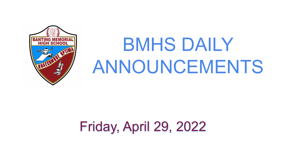# BMHS DAILY ANNOUNCEMENTS

# Friday, April 29, 2022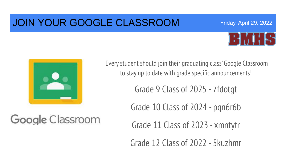### JOIN YOUR GOOGLE CLASSROOM



Friday, April 29, 2022



Google Classroom

Every student should join their graduating class' Google Classroom to stay up to date with grade specific announcements!

Grade 9 Class of 2025 - 7fdotgt

Grade 10 Class of 2024 - pqn6r6b

Grade 11 Class of 2023 - xmntytr

Grade 12 Class of 2022 - 5kuzhmr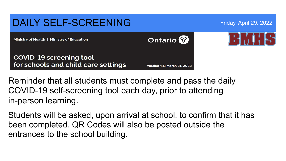#### DAILY SELF-SCREENING Friday, April 29, 2022 **Ontario** Ministry of Health | Ministry of Education **COVID-19 screening tool** for schools and child care settings **Version 4.6: March 21, 2022**

Reminder that all students must complete and pass the daily COVID-19 self-screening tool each day, prior to attending in-person learning.

Students will be asked, upon arrival at school, to confirm that it has been completed. QR Codes will also be posted outside the entrances to the school building.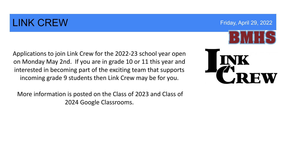## LINK CREW **EXECUTE:** The CREW End of the CREW Service of the CREW End of the CREW End of the CREW End of the CREW Service of the CREW Service of the CREW Service of the CREW Service of the CREW Service of the CREW Service

Applications to join Link Crew for the 2022-23 school year open on Monday May 2nd. If you are in grade 10 or 11 this year and interested in becoming part of the exciting team that supports incoming grade 9 students then Link Crew may be for you.

 More information is posted on the Class of 2023 and Class of 2024 Google Classrooms.

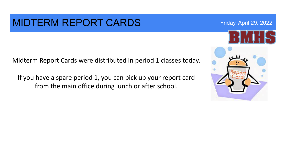#### MIDTERM REPORT CARDS Friday, April 29, 2022

Midterm Report Cards were distributed in period 1 classes today.

If you have a spare period 1, you can pick up your report card from the main office during lunch or after school.

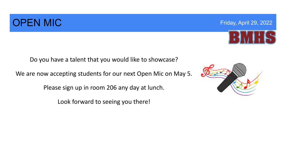### **OPEN MIC Example 29, 2022 COPEN MIC COPEN MIC**

Do you have a talent that you would like to showcase?

We are now accepting students for our next Open Mic on May 5.

Please sign up in room 206 any day at lunch.

Look forward to seeing you there!





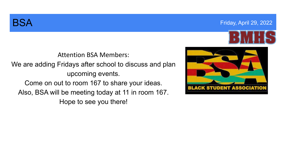





Attention BSA Members:

We are adding Fridays after school to discuss and plan upcoming events.

Come on out to room 167 to share your ideas. Also, BSA will be meeting today at 11 in room 167. Hope to see you there!

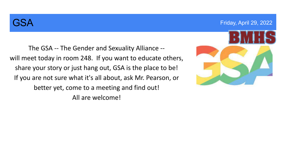The GSA -- The Gender and Sexuality Alliance - will meet today in room 248. If you want to educate others, share your story or just hang out, GSA is the place to be! If you are not sure what it's all about, ask Mr. Pearson, or better yet, come to a meeting and find out! All are welcome!

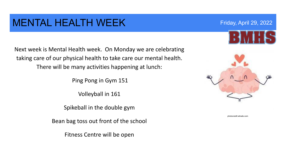### MENTAL HEALTH WEEK Friday, April 29, 2022

Next week is Mental Health week. On Monday we are celebrating taking care of our physical health to take care our mental health. There will be many activities happening at lunch:

Ping Pong in Gym 151

Volleyball in 161

Spikeball in the double gym

Bean bag toss out front of the school

Fitness Centre will be open



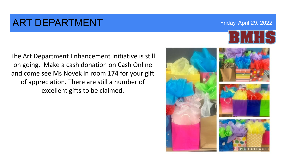#### **ART DEPARTMENT Example 2022 Friday, April 29, 2022**

The Art Department Enhancement Initiative is still on going. Make a cash donation on Cash Online and come see Ms Novek in room 174 for your gift of appreciation. There are still a number of excellent gifts to be claimed.

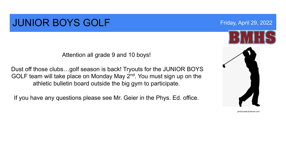### **JUNIOR BOYS GOLF Example 2012** Friday, April 29, 2022

Attention all grade 9 and 10 boys!

Dust off those clubs…golf season is back! Tryouts for the JUNIOR BOYS GOLF team will take place on Monday May 2<sup>nd</sup>. You must sign up on the athletic bulletin board outside the big gym to participate.

If you have any questions please see Mr. Geier in the Phys. Ed. office.



photocredit:pinterest.com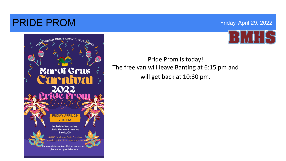#### **PRIDE PROM** Friday, April 29, 2022





#### Pride Prom is today! The free van will leave Banting at 6:15 pm and will get back at 10:30 pm.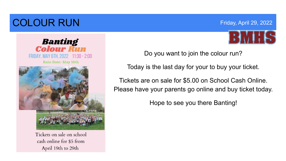# **COLOUR RUN Expansion COLOUR RUN Friday, April 29, 2022**



**Banting<br>Colour Run** FRIDAY, MAY 6TH, 2022 11:30 - 2:00 **Rain Date: May 10th** 

Tickets on sale on school cash online for \$5 from April 19th to 29th

Do you want to join the colour run?

Today is the last day for your to buy your ticket.

Tickets are on sale for \$5.00 on School Cash Online. Please have your parents go online and buy ticket today.

Hope to see you there Banting!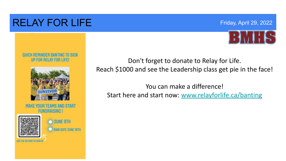### RELAY FOR LIFE Friday, April 29, 2022



#### **DUICK REMINDER BANTING TO SIGN UP FOR RELAY FOR LIFE!**



**MAKE YOUR TEAMS AND START FUNDRAISING!** 





Don't forget to donate to Relay for Life. Reach \$1000 and see the Leadership class get pie in the face!

You can make a difference! Start here and start now: [www.relayforlife.ca/banting](http://www.relayforlife.ca/banting)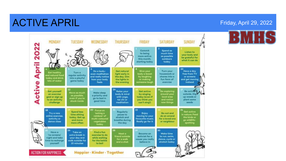### ACTIVE APRIL **FRIGARY AND ACTIVE APRIL**